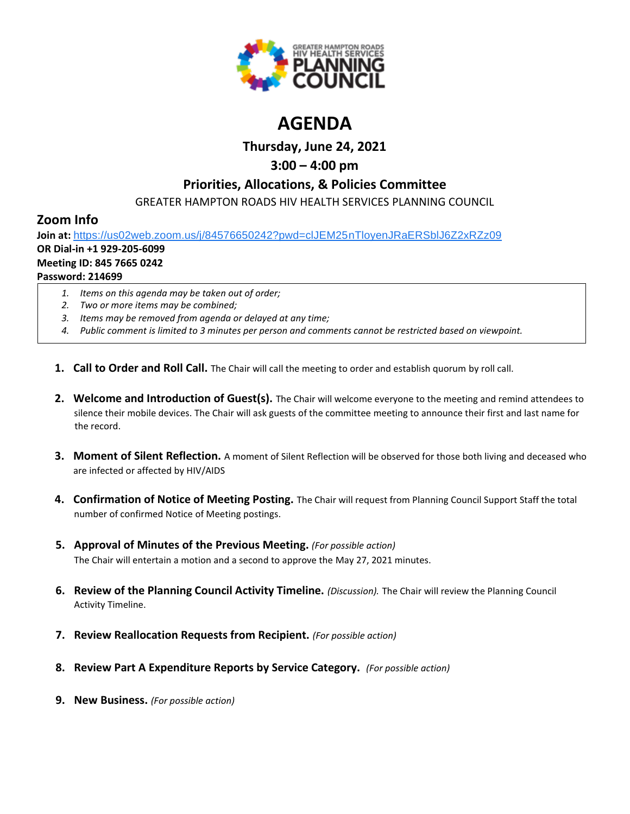

# **AGENDA**

**Thursday, June 24, 2021**

# **3:00 – 4:00 pm**

### **Priorities, Allocations, & Policies Committee**

GREATER HAMPTON ROADS HIV HEALTH SERVICES PLANNING COUNCIL

## **Zoom Info**

**Join at:** [https://us02web.zoom.us/j/84576650242?pwd=clJEM25nTloyenJRaERSblJ6Z2xRZz09](https://www.google.com/url?q=https://us02web.zoom.us/j/84576650242?pwd%3DclJEM25nTloyenJRaERSblJ6Z2xRZz09&sa=D&source=calendar&ust=1616595038982000&usg=AOvVaw3sK6cNtpF8kGuryyzK0Ew9)

# **OR Dial-in +1 929-205-6099**

#### **Meeting ID: 845 7665 0242 Password: 214699**

- *1. Items on this agenda may be taken out of order;*
- *2. Two or more items may be combined;*
- *3. Items may be removed from agenda or delayed at any time;*
- *4. Public comment is limited to 3 minutes per person and comments cannot be restricted based on viewpoint.*
- **1. Call to Order and Roll Call.** The Chair will call the meeting to order and establish quorum by roll call.
- **2. Welcome and Introduction of Guest(s).** The Chair will welcome everyone to the meeting and remind attendees to silence their mobile devices. The Chair will ask guests of the committee meeting to announce their first and last name for the record.
- **3. Moment of Silent Reflection.** A moment of Silent Reflection will be observed for those both living and deceased who are infected or affected by HIV/AIDS
- **4. Confirmation of Notice of Meeting Posting.** The Chair will request from Planning Council Support Staff the total number of confirmed Notice of Meeting postings.
- **5. Approval of Minutes of the Previous Meeting.** *(For possible action)* The Chair will entertain a motion and a second to approve the May 27, 2021 minutes.
- **6. Review of the Planning Council Activity Timeline.** *(Discussion).* The Chair will review the Planning Council Activity Timeline.
- **7. Review Reallocation Requests from Recipient.** *(For possible action)*
- **8. Review Part A Expenditure Reports by Service Category.** *(For possible action)*
- **9. New Business.** *(For possible action)*